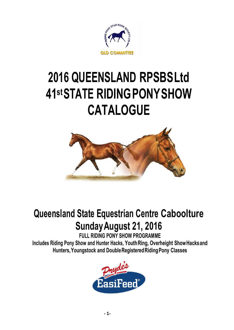

# **2016 QUEENSLAND RPSBSLtd 41 stSTATE RIDINGPONYSHOW CATALOGUE**



# **Queensland State Equestrian Centre Caboolture SundayAugust 21, 2016**

**FULL RIDING PONY SHOW PROGRAMME**

**Includes Riding Pony Show and Hunter Hacks, YouthRing, Overheight ShowHacksand Hunters,Youngstock and DoubleRegisteredRidingPony Classes**

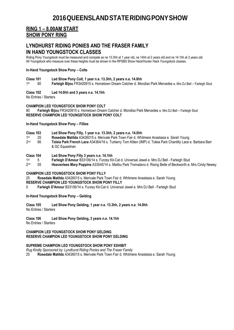### **RING 1 – 8.00AM START SHOW PONY RING**

### **LYNDHURST RIDING PONIES AND THE FRASER FAMILY IN HAND YOUNGSTOCK CLASSES**

Riding Pony Youngstock must be measured and compete as ne 13.3hh at 1 year old, ne 14hh at 2 years old and ne 14.1hh at 3 years old. All Youngstock who measure over these heights must be shown in the RPSBS Show Hack/Hunter Hack Youngstock classes.

### **In-Hand Youngstock Show Pony – Colts**

## **Class 101 Led Show Pony Colt, 1 year n.e. 13.3hh, 2 years n.e. 14.0hh**

1st Farleigh Bijou FR3420915 s. Hometown Dream Catcher d. Mondiso Park Mercedes e. Mrs DJ Bell – Farleigh Stud

### **Class 102 Led 14.0hh and 3 years n.e. 14.1hh**

No Entries / Starters

### **CHAMPION LED YOUNGSTOCK SHOW PONY COLT**

80 **Farleigh Bijou** FR3420915 s. Hometown Dream Catcher d. Mondiso Park Mercedes e. Mrs DJ Bell – Farleigh Stud **RESERVE CHAMPION LED YOUNGSTOCK SHOW PONY COLT**

**In-Hand Youngstock Show Pony – Fillies**

- **Class 103 Led Show Pony Filly, 1 year n.e. 13.3hh, 2 years n.e. 14.0hh**
- $1st$ st 25 **Rosedale Matilda** A3426015 s. Merivale Park Town Fair d. Whitmere Anastasia e. Sarah Young
- $2<sub>nd</sub>$ nd 66 **Toleia Park French Lace** A34364/16 s. Turberry Tom Kitten (IMP) d. Toleia Park Chantilly Lace e. Barbara Barr & GC Equestrian
- **Class 104 Led Show Pony Filly 3 years n.e. 14.1hh**
- 1st st 5 **Farleigh D'Amour** B33106/14 s. Furzey Kit-Cat d. Universal Jewel e. Mrs DJ Bell - Farleigh Stud
- $2<sub>nd</sub>$ nd 55 **Heavenlees Mary Poppins** A33545/14 s. Malibu Park Tromatano d. Rising Belle of Beckworth e. Mrs Cindy Newey

### **CHAMPION LED YOUNGSTOCK SHOW PONY FILLY**

25 **Rosedale Matilda** A3426015 s. Merivale Park Town Fair d. Whitmere Anastasia e. Sarah Young **RESERVE CHAMPION LED YOUNGSTOCK SHOW PONY FILLY**

5 **Farleigh D'Amour** B33106/14 s. Furzey Kit-Cat d. Universal Jewel e. Mrs DJ Bell - Farleigh Stud

**In-Hand Youngstock Show Pony – Gelding**

### **Class 105 Led Show Pony Gelding, 1 year n.e. 13.3hh, 2 years n.e. 14.0hh**

No Entries / Starters

### **Class 106 Led Show Pony Gelding, 3 years n.e. 14.1hh**

No Entries / Starters

#### **CHAMPION LED YOUNGSTOCK SHOW PONY GELDING RESERVE CHAMPION LED YOUNGSTOCK SHOW PONY GELDING**

### **SUPREME CHAMPION LED YOUNGSTOCK SHOW PONY EXHIBIT**

*Rug Kindly Sponsored by: Lyndhurst Riding Ponies and The Fraser Family*

25 **Rosedale Matilda** A3426015 s. Merivale Park Town Fair d. Whitmere Anastasia e. Sarah Young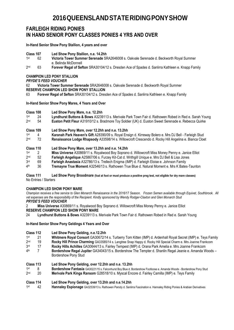### **FARLEIGH RIDING PONIES IN HAND SENIOR PONY CLASSES PONIES 4 YRS AND OVER**

**In-Hand Senior Show Pony Stallion, 4 years and over**

- **Class 107 Led Show Pony Stallion, n.e. 14.2hh**
- 1st st 62 **Victoria Tower Summer Serenade** SRA2646008 s. Oakvale Serenade d. Beckworth Royal Summer e. Belinda McDonnell
- $2<sub>nd</sub>$ nd 63 **Forever Regal of Sefton** SRA30104/12 s. Dresden Ace of Spades d. Sanlirra Kathleen e. Knapp Family

### **CHAMPION LED PONY STALLION**

*PRYDE'S FEED VOUCHER* 

62 **Victoria Tower Summer Serenade** SRA2646008 s. Oakvale Serenade d. Beckworth Royal Summer

- **RESERVE CHAMPION LED SHOW PONY STALLION**
- 63 **Forever Regal of Sefton** SRA30104/12 s. Dresden Ace of Spades d. Sanlirra Kathleen e. Knapp Family

**In-Hand Senior Show Pony Mares, 4 Years and Over** 

- **Class 108 Led Show Pony Mare, n.e. 12.2hh**
- 1<sub>st</sub> Lyndhurst Buttons & Bows A3239113 s. Merivale Park Town Fair d. Rathowen Robed in Red e. Sarah Young
- $2<sub>nd</sub>$ nd 54 **Euston Petit Fleur** A31910/12 s. Bradmore Toy Soldier (UK) d. Euston Sweet Serenade e. Rebecca Quirke
- **Class 109 Led Show Pony Mare, over 12.2hh and n.e. 13.2hh**
- 1<sub>st</sub> **Karanah Park Heaven's Gift** A28390/09 s. Royal Ensign d. Kirreway Bolero e. Mrs DJ Bell - Farleigh Stud<br>T2 **Renaissance Lodge Rhapsody** A33598/14 s. Willowcroft Crescendo d. Rocky Hill Angelina e. Bianca Cloe
- $2nd$ Renaissance Lodge Rhapsody A33598/14 s. Willowcroft Crescendo d. Rocky Hill Angelina e. Bianca Cloet

### **Class 110 Led Show Pony Mare, over 13.2hh and n.e. 14.2hh**

- 1st st 2 **Miss Universe** A30869/11 s. Royalwood Boy Soprano d. Willowcroft Miss Money Penny e. Janice Elliot
- $2<sub>nd</sub>$ nd 52 **Farleigh Angelique** A25867/06 s. Furzey Kit-Cat d. Writhgill Unique e. Mrs DJ Bell & Lisa Jones
- 3rd Farleigh Anastasia A32786/13 s. Trellech Enigma (IMP) d. Farleigh Eloise e. Johnson Family
- 4th th 36 **Tremayne True Moment** A32546/13 s. Rathowen True Blue d. Natural Moment e. Mrs K Bates-Taunton

### **Class 111 Led Show Pony Broodmare (foal at foot or must produce a positive preg test, not eligible for dry mare classes)** No Entries / Starters

### **CHAMPION LED SHOW PONY MARE**

*Champion receives a free service to Glen Monarch Renaissance in the 2016/17 Season. Frozen Semen available through Equivet, Southbrook. All vet expenses are the responsibility of the Recipient. Kindly sponsored by Wendy Rodger-Claxton and Glen Monarch Stud PRYDE'S FEED VOUCHER* 

2 **Miss Universe** A30869/11 s. Royalwood Boy Soprano d. Willowcroft Miss Money Penny e. Janice Elliot **RESERVE CHAMPION LED SHOW PONY MARE** 

24 **Lyndhurst Buttons & Bows** A3239113 s. Merivale Park Town Fair d. Rathowen Robed in Red e. Sarah Young

### **In-Hand Senior Show Pony Geldings 4 Years and Over**

- **Class 112 Led Show Pony Gelding, n.e.12.2hh**
- 1<sub>st</sub> st 21 **Whitmere Royal Consort** GA30672/14 s. Turberry Tom Kitten (IMP) d. Ardenhall Royal Secret (IMP) e. Teys Family
- $2<sub>nd</sub>$ 19 **Rocky Hill Prince Charming** GA33585/14 s. Langtree Snap Happy d. Rocky Hill Special Charm e. Mrs Joanne Frankcom
- 3rd rd 17 **Rocky Hills Achilles** GA30644/13 s. Fairley Tempest (IMP) d. Orana Park Amelia e. Mrs Joanne Frankcom
- $4<sup>th</sup>$ th 7 **Bordershow Regal Jupiter** GA34043/15 s. Bordershow The Tempter d. Shanlin Regal Jeanie e. Amanda Woods – Bordershow Pony Stud
- **Class 113 Led Show Pony Gelding, over 12.2hh and n.e. 13.2hh**
- 1<sub>st</sub> **Bordershow Fantasia** GA30221/15 s. Falconhurst Boy Blue d. Bordershow Footloose e. Amanda Woods - Bordershow Pony Stud<br>**20. Merivale Park Kings Ransom** G28518/10 s. Myscal Fncore d. Fairley Camilla (IMP) e. Teys Family  $2<sub>nd</sub>$ nd 20 **Merivale Park Kings Ransom** G28518/10 s. Myscal Encore d. Fairley Camilla (IMP) e. Teys Family
- **Class 114 Led Show Pony Gelding, over 13.2hh and n.e.14.2hh**
- 1<sub>st</sub> st 42 **Hannaley Espionage** GA32539/13 s. Rathowen Parody d. Sanlirra Fascination e. Hannaley Riding Ponies & Arabian Derivatives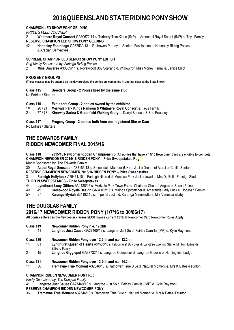### **CHAMPION LED SHOW PONY GELDING**

*PRYDE'S FEED VOUCHER*

21 **Whitmere Royal Consort** GA30672/14 s. Turberry Tom Kitten (IMP) d. Ardenhall Royal Secret (IMP) e. Teys Family **RESERVE CHAMPION LED SHOW PONY GELDING**<br>42 **Hannaley Espionage GA32539/13 s** Rathows

42 **Hannaley Espionage** GA32539/13 s. Rathowen Parody d. Sanlirra Fascination e. Hannaley Riding Ponies & Arabian Derivatives

### **SUPREME CHAMPION LED SENIOR SHOW PONY EXHIBIT**

*Rug Kindly Sponsored by: Farleigh Riding Ponies*

2 **Miss Universe** A30869/11 s. Royalwood Boy Soprano d. Willowcroft Miss Money Penny e. Janice Elliot

### **PROGENY GROUPS**

**(These classes may be entered on the day provided the ponies are competing in another class at the State Show)** 

**Class 115 Breeders Group - 2 Ponies bred by the same stud** No Entries / Starters

**Class 116 Exhibitors Group - 2 ponies owned by the exhibitor** 1st **Merivale Park Kings Ransom & Whitmere Royal Consort** e. Teys Family  $2nd$ 77 / 78 **Kirreway Sarina & Greenfield Walking Glory** e. Darryl Spencer & Sue Poultney

**Class 117 Progeny Group - 2 ponies both from one registered Sire or Dam** No Entries / Starters

### **THE EDWARDS FAMILY RIDDEN NEWCOMER FINAL 2015/16**

### **Class 118 2015/16 Newcomer Ridden Championship (All ponies that have a 14/15 Newcomer Card are eligible to compete) CHAMPION NEWCOMER 2015/16 RIDDEN PONY – Prize Sweepstakes Rug**

Kindly Sponsored by: The Edwards Family

30 **Astral Royal Sensation** A33186/13 s. Strinesdale Matador (UK) d. Just a Dream of Astral e. Caitlin Senter **RESERVE CHAMPION NEWCOMER 2015/16 RIDDEN PONY – Prize Sweepstakes**

3 **Farleigh Hollyhock** A29461/10 s. Farleigh Nimrod d. Mondiso Park Just a Jewel e. Mrs DJ Bell - Farleigh Stud **THIRD IN SWEEPSTAKES – Prize Sweepstakes**

44 **Lyndhurst Lucy Glitters** A34438/16 s. Merivale Park Town Fair d. Chatham Choir of Angels e. Susan Paine

4<sup>th</sup> th 49 **Crestwood Royale Design** GA34102/15 s. Mirinda Spycatcher d. Amaranda Lady Luck e. Hoolihan Family

 $5th$ th 37 **Karanga Myriah** B34192.15 s. Imperial Justin d. Karanga Minnesotta e. Mrs Vanessa Ellaby

### **THE DOUGLAS FAMILY 2016/17 NEWCOMER RIDDEN PONY (1/7/16 to 30/06/17)**

**All ponies entered in the Newcomer classes MUST have a current 2016/17 Newcomer Card Newcomer Rules Apply**

- **Class 119 Newcomer Ridden Pony n.e. 12.2hh**
- 1st st 41 **Langtree Just Cause** GA27460/12 s. Langtree Just So d. Fairley Camilla (IMP) e. Kylie Raymont
- **Class 120 Newcomer Ridden Pony over 12.2hh and n.e. 13.2hh**
- 1<sub>st</sub> st 61 **Lyndhurst Queen of Hearts** A34500/16 s. Falconhurst Boy Blue d. Langtree Evening Star e. Mr Tom Edwards & Berry Family
- $2<sub>nd</sub>$ 15 **Langtree Gigglepot** GA3373215 s. Langtree Composer d. Langtree Gazelle e. Huntingfield Lodge

### **Class 121 Newcomer Ridden Pony over 13.2hh and n.e. 14.2hh**

1st st 36 **Tremayne True Moment** A32546/13 s. Rathowen True Blue d. Natural Moment e. Mrs K Bates-Taunton

### **CHAMPION RIDDEN NEWCOMER PONY Rug**

*Kindly Sponsored by: The Douglas Family*

41 **Langtree Just Cause** GA27460/12 s. Langtree Just So d. Fairley Camilla (IMP) e. Kylie Raymont

### **RESERVE CHAMPION RIDDEN NEWCOMER PONY**

36 **Tremayne True Moment** A32546/13 s. Rathowen True Blue d. Natural Moment e. Mrs K Bates-Taunton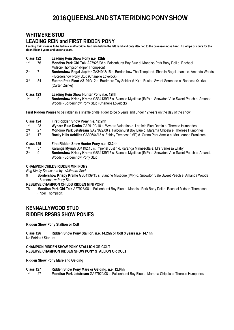### **WHITMERE STUD**

### **LEADING REIN and FIRST RIDDEN PONY**

**Leading Rein classes to be led in a snaffle bridle, lead rein held in the left hand and only attached to the cavesson nose band. No whips or spurs for the rider. Rider 3 years and under 8 years.**

- **Class 122 Leading Rein Show Pony n.e. 12hh**
- 1<sub>st</sub> st 76 **Mondiso Park Girl Talk** A27928/08 s. Falconhurst Boy Blue d. Mondiso Park Baby Doll e. Rachael Midson-Thompson (Piper Thompson)
- $2nd$ nd 7 **Bordershow Regal Jupiter** GA34043/15 s. Bordershow The Tempter d. Shanlin Regal Jeanie e. Amanda Woods – Bordershow Pony Stud (Chanelle Lovelock)
- 3rd rd 54 **Euston Petit Fleur** A31910/12 s. Bradmore Toy Soldier (UK) d. Euston Sweet Serenade e. Rebecca Quirke (Carter Quirke)

### **Class 123 Leading Rein Show Hunter Pony n.e. 12hh**

1<sub>st</sub> st 9 **Bordershow Krispy Kreme** GB34139/15 s. Blanche Mystique (IMP) d. Snowdon Vale Sweet Peach e. Amanda Woods - Bordershow Pony Stud (Chanelle Lovelock)

**First Ridden Ponies** to be ridden in a snaffle bridle. Rider to be 5 years and under 12 years on the day of the show

- **Class 124 First Ridden Show Pony n.e. 12.2hh**
- 1<sub>st</sub> **18 Mynara Blue Denim** GA29190/10 s. Wynara Valentino d. Legfield Blue Demin e. Therese Humphries<br>27 **Mondiso Park Jetstream** GA27929/08 s. Falconburst Boy Blue d. Marama Chipala e. Therese Humpl
- $2nd$
- nd 27 **Mondiso Park Jetstream** GA27929/08 s. Falconhurst Boy Blue d. Marama Chipala e. Therese Humphries 3rd Rocky Hills Achilles GA30644/13 s. Fairley Tempest (IMP) d. Orana Park Amelia e. Mrs Joanne Frankcom
- **Class 125 First Ridden Show Hunter Pony n.e. 12.2hh**
- 1st st 37 **Karanga Myriah** B34192.15 s. Imperial Justin d. Karanga Minnesotta e. Mrs Vanessa Ellaby
- $2nd$ nd 9 **Bordershow Krispy Kreme** GB34139/15 s. Blanche Mystique (IMP) d. Snowdon Vale Sweet Peach e. Amanda Woods - Bordershow Pony Stud

### **CHAMPION CHILDS RIDDEN MINI PONY**

*Rug Kindly Sponsored by: Whitmere Stud*

- 9 **Bordershow Krispy Kreme** GB34139/15 s. Blanche Mystique (IMP) d. Snowdon Vale Sweet Peach e. Amanda Woods - Bordershow Pony Stud
- **RESERVE CHAMPION CHILDS RIDDEN MINI PONY**
- 76 **Mondiso Park Girl Talk** A27928/08 s. Falconhurst Boy Blue d. Mondiso Park Baby Doll e. Rachael Midson-Thompson (Piper Thompson)

### **KENNALLYWOOD STUD RIDDEN RPSBS SHOW PONIES**

#### **Ridden Show Pony Stallion or Colt**

**Class 126 Ridden Show Pony Stallion, n.e. 14.2hh or Colt 3 years n.e. 14.1hh** No Entries / Starters

### **CHAMPION RIDDEN SHOW PONY STALLION OR COLT RESERVE CHAMPION RIDDEN SHOW PONY STALLION OR COLT**

### **Ridden Show Pony Mare and Gelding**

**Class 127 Ridden Show Pony Mare or Gelding, n.e. 12.0hh** 1<sub>st</sub> st 27 **Mondiso Park Jetstream** GA27929/08 s. Falconhurst Boy Blue d. Marama Chipala e. Therese Humphries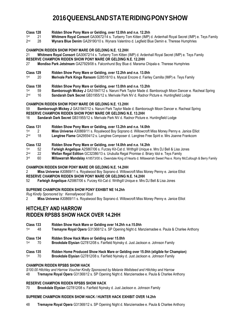- **Class 128 Ridden Show Pony Mare or Gelding, over 12.0hh and n.e. 12.2hh**
- 1<sub>st</sub> st 21 **Whitmere Royal Consort** GA30672/14 s. Turberry Tom Kitten (IMP) d. Ardenhall Royal Secret (IMP) e. Teys Family
- $2<sub>nd</sub>$ Wynara Blue Denim GA29190/10 s. Wynara Valentino d. Legfield Blue Demin e. Therese Humphries

#### **CHAMPION RIDDEN SHOW PONY MARE OR GELDING N.E. 12.2HH**

21 **Whitmere Royal Consort** GA30672/14 s. Turberry Tom Kitten (IMP) d. Ardenhall Royal Secret (IMP) e. Teys Family

- **RESERVE CHAMPION RIDDEN SHOW PONY MARE OR GELDING N.E. 12.2HH**
- 27 **Mondiso Park Jetstream** GA27929/08 s. Falconhurst Boy Blue d. Marama Chipala e. Therese Humphries
- **Class 129 Ridden Show Pony Mare or Gelding, over 12.2hh and n.e. 13.0hh**
- 1<sub>st</sub> st 20 **Merivale Park Kings Ransom** G28518/10 s. Myscal Encore d. Fairley Camilla (IMP) e. Teys Family

### **Class 130 Ridden Show Pony Mare or Gelding, over 13.0hh and n.e. 13.2hh**

- 1<sub>st</sub> 59 **Bamborough Mickey J GA31847/12 s[. Naruni Park Taylor Made](http://www.sammsonline.com/rpsb/animaldetails.cfm?AID=70013971&display=pedigree) d. [Bamborough Moon Dancer](http://www.sammsonline.com/rpsb/animaldetails.cfm?AID=70001480&display=pedigree) e. Racheal Spring**
- $2<sub>nd</sub>$ 16 **Sandarah Dark Secret** GB31955/12 s. Merivale Park NV d. Radnor Picture e. Huntingfield Lodge

### **CHAMPION RIDDEN SHOW PONY MARE OR GELDING N.E. 13.2HH**

59 **Bamborough Mickey J** GA31847/12 s[. Naruni Park Taylor Made](http://www.sammsonline.com/rpsb/animaldetails.cfm?AID=70013971&display=pedigree) d. [Bamborough Moon Dancer](http://www.sammsonline.com/rpsb/animaldetails.cfm?AID=70001480&display=pedigree) e. Racheal Spring **RESERVE CHAMPION RIDDEN SHOW PONY MARE OR GELDING N.E. 13.2HH**

16 **Sandarah Dark Secret** GB31955/12 s. Merivale Park NV d. Radnor Picture e. Huntingfield Lodge

# **Class 131 Ridden Show Pony Mare or Gelding, over 13.2hh and n.e. 14.0hh**

- 1<sub>st</sub> st 2 **Miss Universe** A30869/11 s. Royalwood Boy Soprano d. Willowcroft Miss Money Penny e. Janice Elliot
- $2<sub>nd</sub>$ Langtree Flame GA29554/12 s. Langtree Composer d. Langtree Free Spirit e. Mrs Joanne Frankcom

### **Class 132 Ridden Show Pony Mare or Gelding, over 14.0hh and n.e. 14.2hh**

- 1<sub>st</sub> 52 **Farleigh Angelique** A25867/06 s. Furzey Kit-Cat d. Writhgill Unique e. Mrs DJ Bell & Lisa Jones<br>22 **Wellan Regal Edition** GC32386/13 s. Urubulla Regal Promise d. Briary Idol e. Teys Family
- $2nd$ Wellan Regal Edition GC32386/13 s. Urubulla Regal Promise d. Briary Idol e. Teys Family
- 3rd rd 60 **Millawarrah Mandalay** A18573/00 s. Owendale King of Hearts d. Millawarrah Sweet Pea e. Romy McCullough & Berry Family

### **CHAMPION RIDDEN SHOW PONY MARE OR GELDING N.E. 14.2HH**

2 **Miss Universe** A30869/11 s. Royalwood Boy Soprano d. Willowcroft Miss Money Penny e. Janice Elliot

### **RESERVE CHAMPION RIDDEN SHOW PONY MARE OR GELDING N.E. 14.2HH**

52 **Farleigh Angelique** A25867/06 s. Furzey Kit-Cat d. Writhgill Unique e. Mrs DJ Bell & Lisa Jones

### **SUPREME CHAMPION RIDDEN SHOW PONY EXHIBIT NE 14.2hh**

*Rug Kindly Sponsored by: Kennallywood Stud*

2 **Miss Universe** A30869/11 s. Royalwood Boy Soprano d. Willowcroft Miss Money Penny e. Janice Elliot

### **HITCHLEY AND HARROW RIDDEN RPSBS SHOW HACK OVER 14.2HH**

- **Class 133 Ridden Show Hack Mare or Gelding over 14.2hh n.e.15.0hh**
- 1<sub>st</sub> st 48 **Tremayne Royal Opera** G31368/12 s. SP Opening Night d. Manziemadee e. Paula & Charlee Anthony
- **Class 134 Ridden Show Hack Mare or Gelding over 15.0hh**
- 1<sub>st</sub> st 70 **Brookdale Elysian** G27812/08 s. Fairfield Nyinsky d. Just Jackson e. Johnson Family
- **Class 135 Ridden Home Produced Show Hack Mare or Gelding over 15.0hh (eligible for Champion)**
- $1st$ st 70 **Brookdale Elysian** G27812/08 s. Fairfield Nyinsky d. Just Jackson e. Johnson Family

### **CHAMPION RIDDEN RPSBS SHOW HACK**

*\$100.00 Hitchley and Harrow Voucher Kindly Sponsored by Melanie Wellsteed and Hitchley and Harrow* 48 **Tremayne Royal Opera** G31368/12 s. SP Opening Night d. Manziemadee e. Paula & Charlee Anthony

### **RESERVE CHAMPION RIDDEN RPSBS SHOW HACK**

70 **Brookdale Elysian** G27812/08 s. Fairfield Nyinsky d. Just Jackson e. Johnson Family

### **SUPREME CHAMPION RIDDEN SHOW HACK / HUNTER HACK EXHIBIT OVER 14.2hh**

48 **Tremayne Royal Opera** G31368/12 s. SP Opening Night d. Manziemadee e. Paula & Charlee Anthony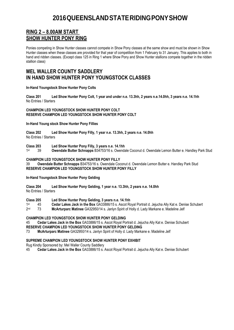### **RING 2 – 8.00AM START SHOW HUNTER PONY RING**

Ponies competing in Show Hunter classes cannot compete in Show Pony classes at the same show and must be shown in Show Hunter classes when these classes are provided for that year of competition from 1 February to 31 January. This applies to both in hand and ridden classes. (Except class 125 in Ring 1 where Show Pony and Show Hunter stallions compete together in the ridden stallion class)

### **MEL WALLER COUNTY SADDLERY IN HAND SHOW HUNTER PONY YOUNGSTOCK CLASSES**

**In-Hand Youngstock Show Hunter Pony Colts**

**Class 201 Led Show Hunter Pony Colt, 1 year and under n.e. 13.3hh, 2 years n.e.14.0hh, 3 years n.e. 14.1hh** No Entries / Starters

**CHAMPION LED YOUNGSTOCK SHOW HUNTER PONY COLT RESERVE CHAMPION LED YOUNGSTOCK SHOW HUNTER PONY COLT**

**In-Hand Young stock Show Hunter Pony Fillies**

**Class 202 Led Show Hunter Pony Filly, 1 year n.e. 13.3hh, 2 years n.e. 14.0hh**  No Entries / Starters

**Class 203 Led Show Hunter Pony Filly, 3 years n.e. 14.1hh**

1st st 39 **Owendale Butter Schnapps** B34753/16 s. Owendale Coconut d. Owendale Lemon Butter e. Handley Park Stud

### **CHAMPION LED YOUNGSTOCK SHOW HUNTER PONY FILLY**

39 **Owendale Butter Schnapps** B34753/16 s. Owendale Coconut d. Owendale Lemon Butter e. Handley Park Stud **RESERVE CHAMPION LED YOUNGSTOCK SHOW HUNTER PONY FILLY**

**In-Hand Youngstock Show Hunter Pony Gelding**

**Class 204 Led Show Hunter Pony Gelding, 1 year n.e. 13.3hh, 2 years n.e. 14.0hh**  No Entries / Starters

**Class 205 Led Show Hunter Pony Gelding, 3 years n.e. 14.1hh**

 $1st$ st 45 **Cedar Lakes Jack in the Box** GA33886/15 s. Ascot Royal Portrait d. Jejucha Ally Kat e. Denise Schubert

 $2nd$ nd 73 **McArturparc Matinee** GA32950/14 s. Janlyn Spirit of Holly d. Lady Markane e. Madeline Jelf

### **CHAMPION LED YOUNGSTOCK SHOW HUNTER PONY GELDING**

45 **Cedar Lakes Jack in the Box** GA33886/15 s. Ascot Royal Portrait d. Jejucha Ally Kat e. Denise Schubert

**RESERVE CHAMPION LED YOUNGSTOCK SHOW HUNTER PONY GELDING**

73 **McArturparc Matinee** GA32950/14 s. Janlyn Spirit of Holly d. Lady Markane e. Madeline Jelf

### **SUPREME CHAMPION LED YOUNGSTOCK SHOW HUNTER PONY EXHIBIT**

Rug Kindly Sponsored by: Mel Waller County Saddlery

45 **Cedar Lakes Jack in the Box** GA33886/15 s. Ascot Royal Portrait d. Jejucha Ally Kat e. Denise Schubert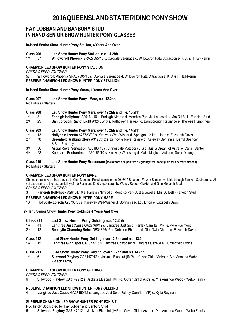### **FAY LOBBAN AND BANBURY STUD IN HAND SENIOR SHOW HUNTER PONY CLASSES**

**In-Hand Senior Show Hunter Pony Stallion, 4 Years And Over**

**Class 206 Led Show Hunter Pony Stallion, n.e. 14.2hh** 

 $1st$ st 57 **Willowcroft Phoenix** SRA27595/10 s. Oakvale Serenade d. Willowcroft Fatal Attraction e. K, A & H Hall-Perrin

### **CHAMPION LED SHOW HUNTER PONY STALLION**

*PRYDE'S FEED VOUCHER* 

57 **Willowcroft Phoenix** SRA27595/10 s. Oakvale Serenade d. Willowcroft Fatal Attraction e. K, A & H Hall-Perrin **RESERVE CHAMPION LED SHOW HUNTER PONY STALLION**

### **In-Hand Senior Show Hunter Pony Mares, 4 Years And Over**

**Class 207 Led Show Hunter Pony Mare, n.e. 12.2hh**

No Entries / Starters

| Class 208       |        | Led Show Hunter Pony Mare, over 12.2hh and n.e. 13.2hh                                                            |  |
|-----------------|--------|-------------------------------------------------------------------------------------------------------------------|--|
| 1st             |        | Farleigh Hollyhock A29461/10 s. Farleigh Nimrod d. Mondiso Park Just a Jewel e. Mrs DJ Bell - Farleigh Stud       |  |
| 2 <sub>nd</sub> | 29     | Bamborough Ray of Light A32485/13 s. Rathowen Paragon d. Bamborough Radiance e. Therese Humphries                 |  |
| Class 209       |        | Led Show Hunter Pony Mare, over 13.2hh and n.e. 14.2hh                                                            |  |
| 1st             | 13     | Hollydale Loretta A28733/09 s. Kirreway Well-Wisher d. Springmead Lou Linda e. Elizabeth Davis                    |  |
| 2nd             | 78     | Greenfield Walking Glory A3196912 s. Binnowie Rave Review d. Kirreway Bernina e. Darryl Spencer<br>& Sue Poultney |  |
| 3rd             | 30     | Astral Royal Sensation A33186/13 s. Strinesdale Matador (UK) d. Just a Dream of Astral e. Caitlin Senter          |  |
| <b>A</b> 11.    | $\sim$ | LA HI LE LI A AAAAFFIAA LA HALLI LALU MALLI A LAL                                                                 |  |

 $4<sup>th</sup>$ th 23 **Kamilaroi Enchantment** A30155/10 s. Kirreway Windsong d. Mat's Magic of Astral e. Sarah Young

**Class 210 Led Show Hunter Pony Broodmare (foal at foot or a positive pregnancy test, not eligible for dry mare classes)** No Entries / Starters

### **CHAMPION LED SHOW HUNTER PONY MARE**

Champion receives a free service to Glen Monarch Renaissance in the 2016/17 Season. Frozen Semen available through Equivet, Southbrook. All vet expenses are the responsibility of the Recipient. Kindly sponsored by Wendy Rodger-Claxton and Glen Monarch Stud *PRYDE'S FEED VOUCHER* 

3 **Farleigh Hollyhock** A29461/10 s. Farleigh Nimrod d. Mondiso Park Just a Jewel e. Mrs DJ Bell - Farleigh Stud

### **RESERVE CHAMPION LED SHOW HUNTER PONY MARE**

13 **Hollydale Loretta** A28733/09 s. Kirreway Well-Wisher d. Springmead Lou Linda e. Elizabeth Davis

### **In-Hand Senior Show Hunter Pony Geldings 4 Years And Over**

| Class 211<br>1st<br>2 <sub>nd</sub> | 41<br>12 | Led Show Hunter Pony Gelding n.e. 12.2hh<br>Langtree Just Cause GA27460/12 s. Langtree Just So d. Fairley Camilla (IMP) e. Kylie Raymont<br>Benjaylin Charming Rebel GB34326/16 s. Debrose Pharaoh d. GlenGwin Charm e. Elizabeth Davis |
|-------------------------------------|----------|-----------------------------------------------------------------------------------------------------------------------------------------------------------------------------------------------------------------------------------------|
| Class 212<br>1st                    | 15       | Led Show Hunter Pony Gelding, over 12.2hh and n.e. 13.2hh<br>Langtree Gigglepot GA3373215 s. Langtree Composer d. Langtree Gazelle e. Huntingfield Lodge                                                                                |
| Class 213<br>1st                    | 6        | Led Show Hunter Pony Gelding, over 13.2hh and n.e.14.2hh<br>Silkwood Playboy GA3147912 s. Jackets Bluebird (IMP) d. Cover Girl of Astral e. Mrs Amanda Webb<br>- Webb Family                                                            |

### **CHAMPION LED SHOW HUNTER PONY GELDING**

*PRYDE'S FEED VOUCHER*

6 **Silkwood Playboy** GA3147912 s. Jackets Bluebird (IMP) d. Cover Girl of Astral e. Mrs Amanda Webb - Webb Family

### **RESERVE CHAMPION LED SHOW HUNTER PONY GELDING**

41 **Langtree Just Cause** GA27460/12 s. Langtree Just So d. Fairley Camilla (IMP) e. Kylie Raymont

### **SUPREME CHAMPION LED SHOW HUNTER PONY EXHIBIT**

Rug Kindly Sponsored by: Fay Lobban and Banbury Stud

6 **Silkwood Playboy** GA3147912 s. Jackets Bluebird (IMP) d. Cover Girl of Astral e. Mrs Amanda Webb - Webb Family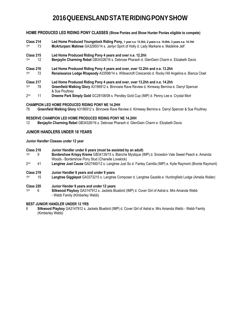**HOME PRODUCED LED RIDING PONY CLASSES (Show Ponies and Show Hunter Ponies eligible to compete)**

- **Class 214 Led Home Produced Youngstock Riding Pony, 1 year n.e. 13.3hh, 2 years n.e. 14.0hh, 3 years n.e. 14.1hh<br>1<sup>st</sup> 73 McArturparc Matinee GA32950/14 s. Janivn Spirit of Holly d. Lady Markane e. Madeline Jelf** 1st McArturparc Matinee GA32950/14 s. Janlyn Spirit of Holly d. Lady Markane e. Madeline Jelf
- **Class 215 Led Home Produced Riding Pony 4 years and over n.e. 12.2hh<br>1<sup>st</sup> 12 <b>Beniavlin Charming Rebel** GB34326/16 s. Debrose Pharaoh d. G
- 1<sub>st</sub> Benjaylin Charming Rebel GB34326/16 s. Debrose Pharaoh d. GlenGwin Charm e. Elizabeth Davis
- **Class 216 Led Home Produced Riding Pony 4 years and over, over 12.2hh and n.e. 13.2hh**
- 1<sub>st</sub> st 72 **Renaissance Lodge Rhapsody** A33598/14 s. Willowcroft Crescendo d. Rocky Hill Angelina e. Bianca Cloet
- **Class 217 Led Home Produced Riding Pony 4 years and over, over 13.2hh and n.e. 14.2hh**
- 1st st 78 **Greenfield Walking Glory** A3196912 s. Binnowie Rave Review d. Kirreway Bernina e. Darryl Spencer & Sue Poultney
- $2<sub>nd</sub>$ nd 11 **Dreeme Park Simply Gold** GC28108/08 s. Pendley Gold Cup (IMP) d. Penny Lee e. Crystal Mort

### **CHAMPION LED HOME PRODUCED RIDING PONY NE 14.2HH**

78 **Greenfield Walking Glory** A3196912 s. Binnowie Rave Review d. Kirreway Bernina e. Darryl Spencer & Sue Poultney

# **RESERVE CHAMPION LED HOME PRODUCED RIDING PONY NE 14.2HH**<br>12 **Beniavlin Charming Rebel GB34326/16 s. Debrose Pharaoh d. Glen**

12 **Benjaylin Charming Rebel** GB34326/16 s. Debrose Pharaoh d. GlenGwin Charm e. Elizabeth Davis

### **JUNIOR HANDLERS UNDER 18 YEARS**

**Junior Handler Classes under 12 year**

- **Class 218 Junior Handler under 6 years (must be assisted by an adult)**  1st st 9 **Bordershow Krispy Kreme** GB34139/15 s. Blanche Mystique (IMP) d. Snowdon Vale Sweet Peach e. Amanda Woods - Bordershow Pony Stud (Chanelle Lovelock)  $2<sub>nd</sub>$ nd 41 **Langtree Just Cause** GA27460/12 s. Langtree Just So d. Fairley Camilla (IMP) e. Kylie Raymont (Bronte Raymont) **Class 219 Junior Handler 6 years and under 9 years**
- 1<sub>st</sub> st 15 **Langtree Gigglepot** GA3373215 s. Langtree Composer d. Langtree Gazelle e. Huntingfield Lodge (Amelia Waller)
- **Class 220 Junior Hander 9 years and under 12 years**
- 1<sub>st</sub> st 6 **Silkwood Playboy** GA3147912 s. Jackets Bluebird (IMP) d. Cover Girl of Astral e. Mrs Amanda Webb - Webb Family (Kimberley Webb)

### **BEST JUNIOR HANDLER UNDER 12 YRS**

6 **Silkwood Playboy** GA3147912 s. Jackets Bluebird (IMP) d. Cover Girl of Astral e. Mrs Amanda Webb - Webb Family (Kimberley Webb)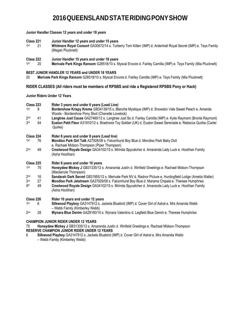### **Junior Handler Classes 12 years and under 18 years**

- **Class 221 Junior Handler 12 years and under 15 years**
- $1st$ Whitmere Royal Consort GA30672/14 s. Turberry Tom Kitten (IMP) d. Ardenhall Royal Secret (IMP) e. Teys Family (Megan Plucknett)
- **Class 222 Junior Handler 15 years and under 18 years**
- 1st Merivale Park Kings Ransom G28518/10 s. Myscal Encore d. Fairley Camilla (IMP) e. Teys Family (Mia Plucknett)

### **BEST JUNIOR HANDLER 12 YEARS and UNDER 18 YEARS**

20 **Merivale Park Kings Ransom** G28518/10 s. Myscal Encore d. Fairley Camilla (IMP) e. Teys Family (Mia Plucknett)

### **RIDER CLASSES (All riders must be members of RPSBS and ride a Registered RPSBS Pony or Hack)**

### **Junior Riders Under 12 Years**

| Class 223<br>1st<br>9                       |          | Rider 3 years and under 6 years (Lead Line)<br>Bordershow Krispy Kreme GB34139/15 s. Blanche Mystique (IMP) d. Snowdon Vale Sweet Peach e. Amanda<br>Woods - Bordershow Pony Stud (Chanelle Lovelock)                                    |
|---------------------------------------------|----------|------------------------------------------------------------------------------------------------------------------------------------------------------------------------------------------------------------------------------------------|
| 2 <sub>nd</sub><br>3rd                      | 41<br>54 | Langtree Just Cause GA27460/12 s. Langtree Just So d. Fairley Camilla (IMP) e. Kylie Raymont (Bronte Raymont)<br>Euston Petit Fleur A31910/12 s. Bradmore Toy Soldier (UK) d. Euston Sweet Serenade e. Rebecca Quirke (Carter<br>Quirke) |
| Class 224                                   |          | Rider 6 years and under 8 years (Lead line)                                                                                                                                                                                              |
| 1st                                         | 76       | Mondiso Park Girl Talk A27928/08 s. Falconhurst Boy Blue d. Mondiso Park Baby Doll<br>e. Rachael Midson-Thompson (Piper Thompson)                                                                                                        |
| 2 <sub>nd</sub>                             | 49       | Crestwood Royale Design GA34102/15 s. Mirinda Spycatcher d. Amaranda Lady Luck e. Hoolihan Family<br>(Asha Hoolihan)                                                                                                                     |
| Class 225                                   |          | Rider 8 years and under 10 years                                                                                                                                                                                                         |
| 1st                                         | 75       | Honeydew Mickey J GB31335/12 s. Amaranda Justin d. Winfield Greetings e. Rachael Midson-Thompson<br>(Mackenzie Thompson)                                                                                                                 |
| 2 <sub>nd</sub>                             | 16       | Sandarah Dark Secret GB31955/12 s. Merivale Park NV d. Radnor Picture e. Huntingfield Lodge (Amelia Waller)                                                                                                                              |
| 3 <sub>rd</sub>                             | 27       | Mondiso Park Jetstream GA27929/08 s. Falconhurst Boy Blue d. Marama Chipala e. Therese Humphries                                                                                                                                         |
| 4 <sup>th</sup>                             | 49       | Crestwood Royale Design GA34102/15 s. Mirinda Spycatcher d. Amaranda Lady Luck e. Hoolihan Family<br>(Asha Hoolihan)                                                                                                                     |
| Class 226                                   |          | Rider 10 years and under 12 years                                                                                                                                                                                                        |
| 1st                                         | 6        | Silkwood Playboy GA3147912 s. Jackets Bluebird (IMP) d. Cover Girl of Astral e. Mrs Amanda Webb<br>- Webb Family (Kimberley Webb)                                                                                                        |
| 2 <sub>nd</sub>                             | 28       | Wynara Blue Denim GA29190/10 s. Wynara Valentino d. Legfield Blue Demin e. Therese Humphries                                                                                                                                             |
| <b>CHAMPION JUNIOR RIDER UNDER 12 YEARS</b> |          |                                                                                                                                                                                                                                          |

### **CHAMPION JUNIOR RIDER UNDER 12 YEARS**

75 **Honeydew Mickey J** GB31335/12 s. Amaranda Justin d. Winfield Greetings e. Rachael Midson-Thompson **RESERVE CHAMPION JUNIOR RIDER UNDER 12 YEARS**

6 **Silkwood Playboy** GA3147912 s. Jackets Bluebird (IMP) d. Cover Girl of Astral e. Mrs Amanda Webb – Webb Family (Kimberley Webb)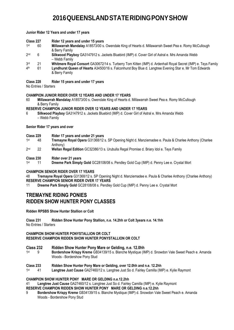**Junior Rider 12 Years and under 17 years**

- **Class 227 Rider 12 years and under 15 years**
- 1<sub>st</sub> st 60 **Millawarrah Mandalay** A18573/00 s. Owendale King of Hearts d. Millawarrah Sweet Pea e. Romy McCullough & Berry Family
- $2<sub>nd</sub>$ nd 6 **Silkwood Playboy** GA3147912 s. Jackets Bluebird (IMP) d. Cover Girl of Astral e. Mrs Amanda Webb – Webb Family
- 3rd rd 21 **Whitmere Royal Consort** GA30672/14 s. Turberry Tom Kitten (IMP) d. Ardenhall Royal Secret (IMP) e. Teys Family
- 4<sup>th</sup> th 61 **Lyndhurst Queen of Hearts** A34500/16 s. Falconhurst Boy Blue d. Langtree Evening Star e. Mr Tom Edwards & Berry Family

### **Class 228 Rider 15 years and under 17 years**

No Entries / Starters

### **CHAMPION JUNIOR RIDER OVER 12 YEARS AND UNDER 17 YEARS**

60 **Millawarrah Mandalay** A18573/00 s. Owendale King of Hearts d. Millawarrah Sweet Pea e. Romy McCullough & Berry Family

### **RESERVE CHAMPION JUNIOR RIDER OVER 12 YEARS AND UNDER 17 YEARS**

6 **Silkwood Playboy** GA3147912 s. Jackets Bluebird (IMP) d. Cover Girl of Astral e. Mrs Amanda Webb – Webb Family

**Senior Rider 17 years and over**

- **Class 229 Rider 17 years and under 21 years**
- 1<sub>st</sub> st 48 **Tremayne Royal Opera** G31368/12 s. SP Opening Night d. Manziemadee e. Paula & Charlee Anthony (Charlee Anthony)
- $2<sub>nd</sub>$ 22 **Wellan Regal Edition** *GC32386/13* s. Urubulla Regal Promise d. Briary Idol e. Teys Family
- **Class 230 Rider over 21 years**
- 1<sub>st</sub> st 11 **Dreeme Park Simply Gold** GC28108/08 s. Pendley Gold Cup (IMP) d. Penny Lee e. Crystal Mort

### **CHAMPION SENIOR RIDER OVER 17 YEARS**

48 **Tremayne Royal Opera** G31368/12 s. SP Opening Night d. Manziemadee e. Paula & Charlee Anthony (Charlee Anthony) **RESERVE CHAMPION SENIOR RIDER OVER 17 YEARS** 

11 **Dreeme Park Simply Gold** GC28108/08 s. Pendley Gold Cup (IMP) d. Penny Lee e. Crystal Mort

### **TREMAYNE RIDING PONIES RIDDEN SHOW HUNTER PONY CLASSES**

**Ridden RPSBS Show Hunter Stallion or Colt**

**Class 231 Ridden Show Hunter Pony Stallion, n.e. 14.2hh or Colt 3years n.e. 14.1hh** No Entries / Starters

### **CHAMPION SHOW HUNTER PONYSTALLION OR COLT RESERVE CHAMPION RIDDEN SHOW HUNTER PONYSTALLION OR COLT**

### **Class 232 Ridden Show Hunter Pony Mare or Gelding, n.e. 12.0hh**

1<sub>st</sub> st 9 **Bordershow Krispy Kreme** GB34139/15 s. Blanche Mystique (IMP) d. Snowdon Vale Sweet Peach e. Amanda Woods - Bordershow Pony Stud

### **Class 233 Ridden Show Hunter Pony Mare or Gelding, over 12.0hh and n.e. 12.2hh**

1st st 41 **Langtree Just Cause** GA27460/12 s. Langtree Just So d. Fairley Camilla (IMP) e. Kylie Raymont

### **CHAMPION SHOW HUNTER PONY MARE OR GELDING n.e.12.2hh**

41 **Langtree Just Cause** GA27460/12 s. Langtree Just So d. Fairley Camilla (IMP) e. Kylie Raymont

### **RESERVE CHAMPION RIDDEN SHOW HUNTER PONY MARE OR GELDING n.e.12.2hh**

9 **Bordershow Krispy Kreme** GB34139/15 s. Blanche Mystique (IMP) d. Snowdon Vale Sweet Peach e. Amanda Woods - Bordershow Pony Stud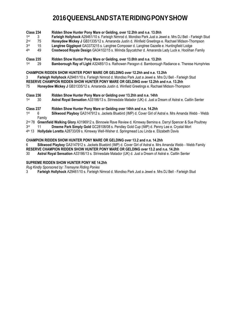| 1st                                                                                  | 3  | Farleigh Hollyhock A29461/10 s. Farleigh Nimrod d. Mondiso Park Just a Jewel e. Mrs DJ Bell - Farleigh Stud |
|--------------------------------------------------------------------------------------|----|-------------------------------------------------------------------------------------------------------------|
| 2 <sub>nd</sub>                                                                      | 75 | Honeydew Mickey J GB31335/12 s. Amaranda Justin d. Winfield Greetings e. Rachael Midson-Thompson            |
| 3 <sup>rd</sup>                                                                      | 15 | Langtree Gigglepot GA3373215 s. Langtree Composer d. Langtree Gazelle e. Huntingfield Lodge                 |
| 4 <sup>th</sup>                                                                      | 49 | Crestwood Royale Design GA34102/15 s. Mirinda Spycatcher d. Amaranda Lady Luck e. Hoolihan Family           |
| Class 235                                                                            |    | Ridden Show Hunter Pony Mare or Gelding, over 13.0hh and n.e. 13.2hh                                        |
| 1st                                                                                  | 29 | Bamborough Ray of Light A32485/13 s. Rathowen Paragon d. Bamborough Radiance e. Therese Humphries           |
| CHAMPION RIDDEN SHOW HUNTER PONY MARE OR GELDING over 12.2hh and n.e. 13.2hh         |    |                                                                                                             |
| 3                                                                                    |    | Farleigh Hollyhock A29461/10 s. Farleigh Nimrod d. Mondiso Park Just a Jewel e. Mrs DJ Bell - Farleigh Stud |
| RESERVE CHAMPION RIDDEN SHOW HUNTER PONY MARE OR GELDING over 12.2hh and n.e. 13.2hh |    |                                                                                                             |
| 75                                                                                   |    | Honeydew Mickey J GB31335/12 s. Amaranda Justin d. Winfield Greetings e. Rachael Midson-Thompson            |

**Class 236 Ridden Show Hunter Pony Mare or Gelding over 13.2hh and n.e. 14hh** 

**Class 234 Ridden Show Hunter Pony Mare or Gelding, over 12.2hh and n.e. 13.0hh** 

 $1st$ Astral Royal Sensation A33186/13 s. Strinesdale Matador (UK) d. Just a Dream of Astral e. Caitlin Senter

# **Class 237 Ridden Show Hunter Pony Mare or Gelding over 14hh and n.e. 14.2hh**

- 1<sub>st</sub> Silkwood Playboy GA3147912 s. Jackets Bluebird (IMP) d. Cover Girl of Astral e. Mrs Amanda Webb - Webb Family
- 2<u>nd 78</u> **Greenfield Walking Glory** A3196912 s. Binnowie Rave Review d. Kirreway Bernina e. Darryl Spencer & Sue Poultney
- 3rd rd 11 **Dreeme Park Simply Gold** GC28108/08 s. Pendley Gold Cup (IMP) d. Penny Lee e. Crystal Mort
- 4 th 13 **Hollydale Loretta** A28733/09 s. Kirreway Well-Wisher d. Springmead Lou Linda e. Elizabeth Davis

### **CHAMPION RIDDEN SHOW HUNTER PONY MARE OR GELDING over 13.2 and n.e. 14.2hh**

6 **Silkwood Playboy** GA3147912 s. Jackets Bluebird (IMP) d. Cover Girl of Astral e. Mrs Amanda Webb - Webb Family **RESERVE CHAMPION RIDDEN SHOW HUNTER PONY MARE OR GELDING over 13.2 and n.e. 14.2hh**

30 **Astral Royal Sensation** A33186/13 s. Strinesdale Matador (UK) d. Just a Dream of Astral e. Caitlin Senter

### **SUPREME RIDDEN SHOW HUNTER PONY NE 14.2hh**

*Rug Kindly Sponsored by: Tremayne Riding Ponies*

3 **Farleigh Hollyhock** A29461/10 s. Farleigh Nimrod d. Mondiso Park Just a Jewel e. Mrs DJ Bell - Farleigh Stud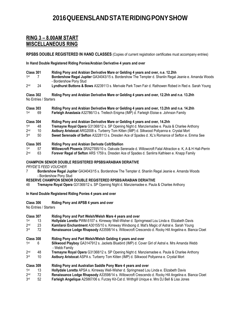### **RING 3 – 8.00AM START MISCELLANEOUS RING**

**RPSBS DOUBLE REGISTERED IN HAND CLASSES** (Copies of current registration certificates must accompany entries)

**In Hand Double Registered Riding Ponies/Arabian Derivative 4 years and over**

| Class 301       |    | Riding Pony and Arabian Derivative Mare or Gelding 4 years and over, n.e. 12.2hh                                                |
|-----------------|----|---------------------------------------------------------------------------------------------------------------------------------|
| $1st$ 7         |    | Bordershow Regal Jupiter GA34043/15 s. Bordershow The Tempter d. Shanlin Regal Jeanie e. Amanda Woods<br>- Bordershow Pony Stud |
| 2 <sub>nd</sub> | 24 | Lyndhurst Buttons & Bows A3239113 s. Merivale Park Town Fair d. Rathowen Robed in Red e. Sarah Young                            |

**Class 302 Riding Pony and Arabian Derivative Mare or Gelding 4 years and over, 12.2hh and n.e. 13.2hh**  No Entries / Starters

| Class 303 |     | Riding Pony and Arabian Derivative Mare or Gelding 4 years and over, 13.2hh and n.e. 14.2hh |
|-----------|-----|---------------------------------------------------------------------------------------------|
| 1st       | -69 | Farleigh Anastasia A32786/13 s. Trellech Enigma (IMP) d. Farleigh Eloise e. Johnson Family  |

## **Class 304 Riding Pony and Arabian Derivative Mare or Gelding 4 years and over, 14.2hh**

- 1st st 48 **Tremayne Royal Opera** G31368/12 s. SP Opening Night d. Manziemadee e. Paula & Charlee Anthony
- $2<sub>nd</sub>$ nd 10 **Astbury Aristocat** ARG2008 s. Turberry Tom Kitten (IMP) d. Silkwood Pollyanna e. Crystal Mort
- 3rd rd 50 **Sweet Serenade of Sefton** A3228113 s. Dresden Ace of Spades d. XL's Romance of Sefton e. Emma See

### **Class 305 Riding Pony and Arabian Derivate Colt/Stallion**

- 1<sub>st</sub> **st 57 Willowcroft Phoenix** SRA27595/10 s. Oakvale Serenade d. Willowcroft Fatal Attraction e. K, A & H Hall-Perrin<br>63 **Forever Regal of Sefton** ARS 1759 s. Dresden Ace of Spades d. Sanlirra Kathleen e. Knapp Family
- $2<sub>nd</sub>$ Forever Regal of Sefton ARS 1759 s. Dresden Ace of Spades d. Sanlirra Kathleen e. Knapp Family

### **CHAMPION SENIOR DOUBLE REGISTERED RPSBS/ARABIAN DERIATIVE**

*PRYDE'S FEED VOUCHER*

7 **Bordershow Regal Jupiter** GA34043/15 s. Bordershow The Tempter d. Shanlin Regal Jeanie e. Amanda Woods - Bordershow Pony Stud

**RESERVE CHAMPION SENIOR DOUBLE REGISTERED RPSBS/ARABIAN DERIATIVE**

48 **Tremayne Royal Opera** G31368/12 s. SP Opening Night d. Manziemadee e. Paula & Charlee Anthony

### **In Hand Double Registered Riding Ponies 4 years and over**

**Class 306 Riding Pony and APSB 4 years and over**

No Entries / Starters

- **Class 307 Riding Pony and Part Welsh/Welsh Mare 4 years and over**
- 1<sub>st</sub> st 13 **Hollydale Loretta** PWM-5107 s. Kirreway Well-Wisher d. Springmead Lou Linda e. Elizabeth Davis
- $2<sub>nd</sub>$ nd 23 **Kamilaroi Enchantment** A30155/10 s. Kirreway Windsong d. Mat's Magic of Astral e. Sarah Young
- 3rd **Renaissance Lodge Rhapsody A33598/14 s. Willowcroft Crescendo d. Rocky Hill Angelina e. Bianca Cloet**

- 1<sub>st</sub> st 6 **Silkwood Playboy** GA3147912 s. Jackets Bluebird (IMP) d. Cover Girl of Astral e. Mrs Amanda Webb - Webb Family
- $2nd$ nd 48 **Tremayne Royal Opera** G31368/12 s. SP Opening Night d. Manziemadee e. Paula & Charlee Anthony
- 3rd rd 10 **Astbury Aristocat** ASPA s. Turberry Tom Kitten (IMP) d. Silkwood Pollyanna e. Crystal Mort

### **Class 309 Riding Pony and Australian Saddle Pony Mare 4 years and over**

- 1st st 13 **Hollydale Loretta** APSA s. Kirreway Well-Wisher d. Springmead Lou Linda e. Elizabeth Davis
- 2<sup>nd</sup> nd 72 **Renaissance Lodge Rhapsody** A33598/14 s. Willowcroft Crescendo d. Rocky Hill Angelina e. Bianca Cloet
- 3rd rd 52 **Farleigh Angelique** A25867/06 s. Furzey Kit-Cat d. Writhgill Unique e. Mrs DJ Bell & Lisa Jones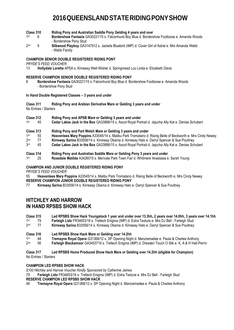- **Class 310 Riding Pony and Australian Saddle Pony Gelding 4 years and over**
- 1<sub>st</sub> st 8 **Bordershow Fantasia** GA30221/15 s. Falconhurst Boy Blue d. Bordershow Footloose e. Amanda Woods - Bordershow Pony Stud
- $2<sub>nd</sub>$ nd 6 **Silkwood Playboy** GA3147912 s. Jackets Bluebird (IMP) d. Cover Girl of Astral e. Mrs Amanda Webb - Webb Family

### **CHAMPION SENIOR DOUBLE REGISTERED RIDING PONY**

*PRYDE'S FEED VOUCHER*

13 **Hollydale Loretta** APSA s. Kirreway Well-Wisher d. Springmead Lou Linda e. Elizabeth Davis

### **RESERVE CHAMPION SENIOR DOUBLE REGISTERED RIDING PONY**

8 **Bordershow Fantasia** GA30221/15 s. Falconhurst Boy Blue d. Bordershow Footloose e. Amanda Woods - Bordershow Pony Stud

### **In Hand Double Registered Classes – 3 years and under**

**Class 311 Riding Pony and Arabian Derivative Mare or Gelding 3 years and under**  No Entries / Starters

- **Class 312 Riding Pony and APSB Mare or Gelding 3 years and under**
- 1<sub>st</sub> st 45 **Cedar Lakes Jack in the Box** GA33886/15 s. Ascot Royal Portrait d. Jejucha Ally Kat e. Denise Schubert
- **Class 313 Riding Pony and Part Welsh Mare or Gelding 3 years and under**
- 1<sub>st</sub> st 55 **Heavenlees Mary Poppins** A33545/14 s. Malibu Park Tromatano d. Rising Belle of Beckworth e. Mrs Cindy Newey
- $2<sub>nd</sub>$ nd 77 **Kirreway Sarina** B33556/14 s. Kirreway Obama d. Kirreway Halo e. Darryl Spencer & Sue Poultney
- **3rd** rd 45 **Cedar Lakes Jack in the Box** GA33886/15 s. Ascot Royal Portrait d. Jejucha Ally Kat e. Denise Schubert
- **Class 314 Riding Pony and Australian Saddle Mare or Gelding Pony 3 years and under**
- 1st st 25 **Rosedale Matilda** A3426015 s. Merivale Park Town Fair d. Whitmere Anastasia e. Sarah Young

### **CHAMPION AND JUNIOR DOUBLE REGISTERED RIDING PONY**

*PRYDE'S FEED VOUCHER*

55 **Heavenlees Mary Poppins** A33545/14 s. Malibu Park Tromatano d. Rising Belle of Beckworth e. Mrs Cindy Newey **RESERVE CHAMPION JUNIOR DOUBLE REGISTERED RIDING PONY**

77 **Kirreway Sarina** B33556/14 s. Kirreway Obama d. Kirreway Halo e. Darryl Spencer & Sue Poultney

### **HITCHLEY AND HARROW IN HAND RPSBS SHOW HACK**

#### **Class 315 Led RPSBS Show Hack Youngstock 1 year and under over 13.3hh, 2 years over 14.0hh, 3 years over 14.1hh** 1<sub>st</sub> st 79 **Farleigh Lido** FR34653/16 s. Trellech Enigma (IMP) d. Extra Texture e. Mrs DJ Bell - Farleigh Stud

- $2nd$ nd 77 **Kirreway Sarina** B33556/14 s. Kirreway Obama d. Kirreway Halo e. Darryl Spencer & Sue Poultney
- 

### **Class 316 Led RPSBS Show Hack Mare or Gelding over 14.2hh**

1st st 48 **Tremayne Royal Opera** G31368/12 s. SP Opening Night d. Manziemadee e. Paula & Charlee Anthony

 $2nd$ nd 56 **Farleigh Blackamoor** GA3453716 s. Trellech Enigma (IMP) d. Dresden Touch O Silk e. K, A & H Hall-Perrin

### **Class 317 Led RPSBS Home Produced Show Hack Mare or Gelding over 14.2hh (eligible for Champion)**

No Entries / Starters

### **CHAMPION LED RPSBS SHOW HACK**

*\$100 Hitchley and Harrow Voucher Kindly Sponsored by Catherine James*

79 **Farleigh Lido** FR34653/16 s. Trellech Enigma (IMP) d. Extra Texture e. Mrs DJ Bell - Farleigh Stud **RESERVE CHAMPION LED RPSBS SHOW HACK**

48 **Tremayne Royal Opera** G31368/12 s. SP Opening Night d. Manziemadee e. Paula & Charlee Anthony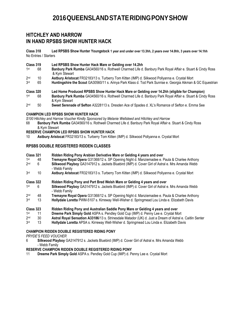### **HITCHLEY AND HARROW IN HAND RPSBS SHOW HUNTER HACK**

**Class 318 Led RPSBS Show Hunter Youngstock 1 year and under over 13.3hh, 2 years over 14.0hh, 3 years over 14.1hh**  No Entries / Starters

#### **Class 319 Led RPSBS Show Hunter Hack Mare or Gelding over 14.2hh**

- 1st st 68 **Banbury Park Rumba** GA34560/16 s. Rothwell Charmed Life d. Banbury Park Royal Affair e. Stuart & Cindy Ross & Kym Stewart
- 2nd nd 10 **Astbury Aristocat** FR32183/13 s. Turberry Tom Kitten (IMP) d. Silkwood Pollyanna e. Crystal Mort
- 3rd rd 65 **Huntingshire the Scout** GA30560/11 s. Arinya Park Klass d. Tod Park Sunrise e. Georgia Aikman & GC Equestrian
- **Class 320 Led Home Produced RPSBS Show Hunter Hack Mare or Gelding over 14.2hh (eligible for Champion)**
- 1<sub>st</sub> st 68 **Banbury Park Rumba** GA34560/16 s. Rothwell Charmed Life d. Banbury Park Royal Affair e. Stuart & Cindy Ross & Kym Stewart
- $2<sub>nd</sub>$ 50 **Sweet Serenade of Sefton A3228113 s**. Dresden Ace of Spades d. XL's Romance of Sefton e. Emma See

#### **CHAMPION LED RPSBS SHOW HUNTER HACK**

*\$100 Hitchley and Harrow Voucher Kindly Sponsored by Melanie Wellsteed and Hitchley and Harrow*

68 **Banbury Park Rumba** GA34560/16 s. Rothwell Charmed Life d. Banbury Park Royal Affair e. Stuart & Cindy Ross & Kym Stewart

#### **RESERVE CHAMPION LED RPSBS SHOW HUNTER HACK**

10 **Astbury Aristocat** FR32183/13 s. Turberry Tom Kitten (IMP) d. Silkwood Pollyanna e. Crystal Mort

### **RPSBS DOUBLE REGISTERED RIDDEN CLASSES**

- **Class 321 Ridden Riding Pony Arabian Derivative Mare or Gelding 4 years and over**  1<sub>st</sub> st 48 **Tremayne Royal Opera** G31368/12 s. SP Opening Night d. Manziemadee e. Paula & Charlee Anthony  $2<sub>nd</sub>$ nd 6 **Silkwood Playboy** GA3147912 s. Jackets Bluebird (IMP) d. Cover Girl of Astral e. Mrs Amanda Webb - Webb Family 3rd rd 10 **Astbury Aristocat** FR32183/13 s. Turberry Tom Kitten (IMP) d. Silkwood Pollyanna e. Crystal Mort
- 
- **Class 322 Ridden Riding Pony and Part Bred Welsh Mare or Gelding 4 years and over**
- 1<sub>st</sub> Silkwood Playboy GA3147912 s. Jackets Bluebird (IMP) d. Cover Girl of Astral e. Mrs Amanda Webb - Webb Family
- $2<sub>nd</sub>$ nd 48 **Tremayne Royal Opera** G31368/12 s. SP Opening Night d. Manziemadee e. Paula & Charlee Anthony
- 3rd rd 13 **Hollydale Loretta** PWM-5107 s. Kirreway Well-Wisher d. Springmead Lou Linda e. Elizabeth Davis

### **Class 323 Ridden Riding Pony and Australian Saddle Pony Mare or Gelding 4 years and over**

- 1<sub>st</sub> st 11 **Dreeme Park Simply Gold** ASPA s. Pendley Gold Cup (IMP) d. Penny Lee e. Crystal Mort
- $2nd$ nd 30 **Astral Royal Sensation A33186**/13 s. Strinesdale Matador (UK) d. Just a Dream of Astral e. Caitlin Senter
- 3rd rd 13 **Hollydale Loretta** APSA s. Kirreway Well-Wisher d. Springmead Lou Linda e. Elizabeth Davis

### **CHAMPION RIDDEN DOUBLE REGISTERED RIDING PONY**

*PRYDE'S FEED VOUCHER*

6 **Silkwood Playboy** GA3147912 s. Jackets Bluebird (IMP) d. Cover Girl of Astral e. Mrs Amanda Webb - Webb Family

### **RESERVE CHAMPION RIDDEN DOUBLE REGISTERED RIDING PONY**

11 **Dreeme Park Simply Gold** ASPA s. Pendley Gold Cup (IMP) d. Penny Lee e. Crystal Mort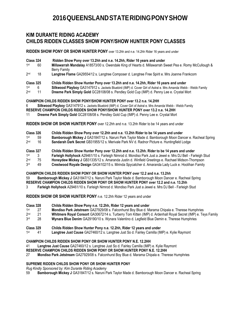### **KIM DURANTE RIDING ACADEMY CHILDS RIDDEN CLASSES SHOW PONY/SHOW HUNTER PONY CLASSES**

**RIDDEN SHOW PONY OR SHOW HUNTER PONY** over 13.2hh and n.e. 14.2hh Rider 16 years and under

- **Class 324 Ridden Show Pony over 13.2hh and n.e. 14.2hh, Rider 16 years and under**
- 1st st 60 **Millawarrah Mandalay** A18573/00 s. Owendale King of Hearts d. Millawarrah Sweet Pea e. Romy McCullough & Berry Family
- $2<sub>nd</sub>$ 18 Langtree Flame GA29554/12 s. Langtree Composer d. Langtree Free Spirit e. Mrs Joanne Frankcom
- **Class 325 Childs Ridden Show Hunter Pony over 13.2hh and n.e. 14.2hh, Rider 16 years and under**
- 1<sub>st</sub> 6 **Silkwood Playboy** GA3147912 s. Jackets Bluebird (IMP) d. Cover Girl of Astral e. Mrs Amanda Webb - Webb Family<br>11 **Dreeme Park Simply Gold** GC28108/08 s. Pendlev Gold Cup (IMP) d. Penny Lee e. Crystal Mort
- $2<sub>nd</sub>$ Dreeme Park Simply Gold GC28108/08 s. Pendley Gold Cup (IMP) d. Penny Lee e. Crystal Mort

### **CHAMPION CHILDS RIDDEN SHOW PONY/SHOW HUNTER PONY over 13.2 n.e. 14.2HH**

6 **Silkwood Playboy** GA3147912 s. Jackets Bluebird (IMP) d. Cover Girl of Astral e. Mrs Amanda Webb - Webb Family

- **RESERVE CHAMPION CHILDS RIDDEN SHOW PONY/SHOW HUNTER PONY over 13.2 n.e. 14.2HH**
- 11 **Dreeme Park Simply Gold** GC28108/08 s. Pendley Gold Cup (IMP) d. Penny Lee e. Crystal Mort

**RIDDEN SHOW OR SHOW HUNTER PONY** over 12.2hh and n.e. 13.2hh Rider to be 14 years and under

- **Class 326 Childs Ridden Show Pony over 12.2hh and n.e. 13.2hh Rider to be 14 years and under** 1st 59 **Bamborough Mickey J GA31847/12 s[. Naruni Park Taylor Made](http://www.sammsonline.com/rpsb/animaldetails.cfm?AID=70013971&display=pedigree) d. [Bamborough Moon Dancer](http://www.sammsonline.com/rpsb/animaldetails.cfm?AID=70001480&display=pedigree) e. Racheal Spring**  $2<sub>nd</sub>$ 16 **Sandarah Dark Secret** GB31955/12 s. Merivale Park NV d. Radnor Picture e. Huntingfield Lodge **Class 327 Childs Ridden Show Hunter Pony over 12.2hh and n.e. 13.2hh. Rider to be 14 years and under**  1st st 3 **Farleigh Hollyhock** A29461/10 s. Farleigh Nimrod d. Mondiso Park Just a Jewel e. Mrs DJ Bell - Farleigh Stud
- $2<sub>nd</sub>$ Honeydew Mickey J GB31335/12 s. Amaranda Justin d. Winfield Greetings e. Rachael Midson-Thompson
- 3rd rd 49 **Crestwood Royale Design** GA34102/15 s. Mirinda Spycatcher d. Amaranda Lady Luck e. Hoolihan Family

**CHAMPION CHILDS RIDDEN SHOW PONY OR SHOW HUNTER PONY over 12.2 and n.e. 13.2hh** 59 **Bamborough Mickey J** GA31847/12 s[. Naruni Park Taylor Made](http://www.sammsonline.com/rpsb/animaldetails.cfm?AID=70013971&display=pedigree) d. [Bamborough Moon Dancer](http://www.sammsonline.com/rpsb/animaldetails.cfm?AID=70001480&display=pedigree) e. Racheal Spring **RESERVE CHAMPION CHILDS RIDDEN SHOW PONY OR SHOW HUNTER PONY over 12.2 and n.e. 13.2hh** 3 **Farleigh Hollyhock** A29461/10 s. Farleigh Nimrod d. Mondiso Park Just a Jewel e. Mrs DJ Bell - Farleigh Stud

**RIDDEN SHOW OR SHOW HUNTER PONY** n.e. 12.2hh Rider 12 years and under

- **Class 328 Childs Ridden Show Pony n.e. 12.2hh, Rider 12 years and under**
- $1<sup>st</sup>$ st 27 **Mondiso Park Jetstream** GA27929/08 s. Falconhurst Boy Blue d. Marama Chipala e. Therese Humphries
- $2<sub>nd</sub>$ nd 21 **Whitmere Royal Consort** GA30672/14 s. Turberry Tom Kitten (IMP) d. Ardenhall Royal Secret (IMP) e. Teys Family
- 3rd rd 28 **Wynara Blue Denim** GA29190/10 s. Wynara Valentino d. Legfield Blue Demin e. Therese Humphries
- **Class 329 Childs Ridden Show Hunter Pony n.e. 12.2hh, Rider 12 years and under**
- 1st st 41 **Langtree Just Cause** GA27460/12 s. Langtree Just So d. Fairley Camilla (IMP) e. Kylie Raymont

### **CHAMPION CHILDS RIDDEN SHOW PONY OR SHOW HUNTER PONY N.E. 12.2HH**

41 **Langtree Just Cause** GA27460/12 s. Langtree Just So d. Fairley Camilla (IMP) e. Kylie Raymont

**RESERVE CHAMPION CHILDS RIDDEN SHOW PONY OR SHOW HUNTER PONY N.E. 12.2HH**

27 **Mondiso Park Jetstream** GA27929/08 s. Falconhurst Boy Blue d. Marama Chipala e. Therese Humphries

### **SUPREME RIDDEN CHILDS SHOW PONY OR SHOW HUNTER PONY**

*Rug Kindly Sponsored by: Kim Durante Riding Academy*

59 **Bamborough Mickey J** GA31847/12 s[. Naruni Park Taylor Made](http://www.sammsonline.com/rpsb/animaldetails.cfm?AID=70013971&display=pedigree) d. [Bamborough Moon Dancer](http://www.sammsonline.com/rpsb/animaldetails.cfm?AID=70001480&display=pedigree) e. Racheal Spring